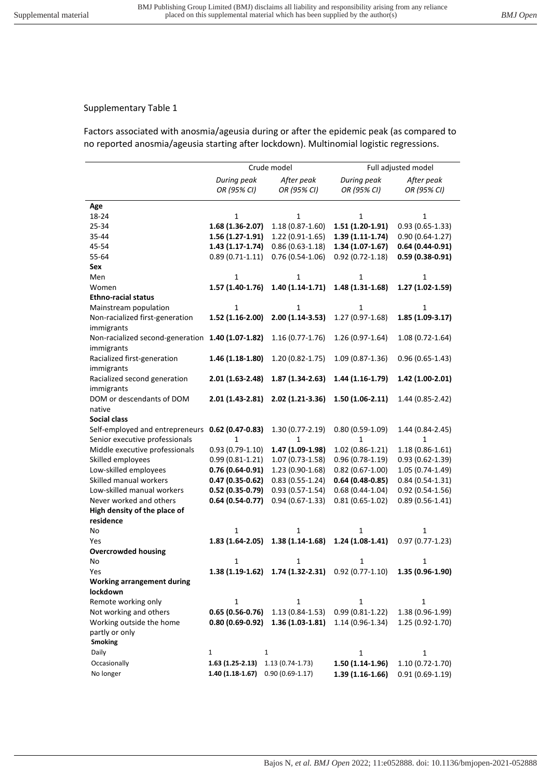## Supplementary Table 1

Factors associated with anosmia/ageusia during or after the epidemic peak (as compared to no reported anosmia/ageusia starting after lockdown). Multinomial logistic regressions.

|                                                   | Crude model        |                     | Full adjusted model                                |                     |
|---------------------------------------------------|--------------------|---------------------|----------------------------------------------------|---------------------|
|                                                   | During peak        | After peak          | During peak                                        | After peak          |
|                                                   | OR (95% CI)        | OR (95% CI)         | OR (95% CI)                                        | OR (95% CI)         |
| Age                                               |                    |                     |                                                    |                     |
| 18-24                                             | $\mathbf{1}$       | 1                   | 1                                                  | 1                   |
| 25-34                                             | 1.68 (1.36-2.07)   | $1.18(0.87 - 1.60)$ | 1.51 (1.20-1.91)                                   | $0.93(0.65-1.33)$   |
| 35-44                                             | 1.56 (1.27-1.91)   | $1.22(0.91-1.65)$   | $1.39(1.11-1.74)$                                  | $0.90(0.64 - 1.27)$ |
| 45-54                                             | $1.43(1.17-1.74)$  | $0.86(0.63-1.18)$   | $1.34(1.07-1.67)$                                  | $0.64(0.44-0.91)$   |
| 55-64                                             | $0.89(0.71-1.11)$  | $0.76(0.54-1.06)$   | $0.92(0.72 - 1.18)$                                | $0.59(0.38-0.91)$   |
| Sex                                               |                    |                     |                                                    |                     |
| Men                                               | 1                  | 1                   | 1                                                  | 1                   |
| Women                                             | $1.57(1.40-1.76)$  | $1.40(1.14-1.71)$   | 1.48 (1.31-1.68)                                   | 1.27 (1.02-1.59)    |
| <b>Ethno-racial status</b>                        |                    |                     |                                                    |                     |
| Mainstream population                             | $\mathbf{1}$       | $\mathbf{1}$        | $\mathbf{1}$                                       | 1                   |
| Non-racialized first-generation                   | 1.52 (1.16-2.00)   | $2.00(1.14-3.53)$   | $1.27(0.97-1.68)$                                  | 1.85 (1.09-3.17)    |
| immigrants                                        |                    |                     |                                                    |                     |
| Non-racialized second-generation 1.40 (1.07-1.82) |                    | $1.16(0.77-1.76)$   | 1.26 (0.97-1.64)                                   | $1.08(0.72 - 1.64)$ |
| immigrants                                        |                    |                     |                                                    |                     |
| Racialized first-generation                       | $1.46(1.18-1.80)$  | $1.20(0.82 - 1.75)$ | 1.09 (0.87-1.36)                                   | $0.96(0.65-1.43)$   |
| immigrants                                        |                    |                     |                                                    |                     |
| Racialized second generation                      | $2.01(1.63-2.48)$  | 1.87 (1.34-2.63)    | $1.44(1.16-1.79)$                                  | 1.42 (1.00-2.01)    |
| immigrants                                        |                    |                     |                                                    |                     |
| DOM or descendants of DOM                         | $2.01(1.43-2.81)$  | 2.02 (1.21-3.36)    | $1.50(1.06-2.11)$                                  | 1.44 (0.85-2.42)    |
| native                                            |                    |                     |                                                    |                     |
| <b>Social class</b>                               |                    |                     |                                                    |                     |
| Self-employed and entrepreneurs                   | $0.62$ (0.47-0.83) | $1.30(0.77-2.19)$   | $0.80(0.59-1.09)$                                  | 1.44 (0.84-2.45)    |
| Senior executive professionals                    | $\mathbf{1}$       | $\mathbf{1}$        | $\mathbf{1}$                                       | 1                   |
| Middle executive professionals                    | $0.93(0.79-1.10)$  | 1.47 (1.09-1.98)    | $1.02(0.86-1.21)$                                  | $1.18(0.86 - 1.61)$ |
| Skilled employees                                 | $0.99(0.81-1.21)$  | 1.07 (0.73-1.58)    | $0.96(0.78-1.19)$                                  | $0.93(0.62 - 1.39)$ |
| Low-skilled employees                             | $0.76(0.64-0.91)$  | $1.23(0.90-1.68)$   | $0.82(0.67-1.00)$                                  | 1.05 (0.74-1.49)    |
| Skilled manual workers                            | $0.47(0.35-0.62)$  | $0.83(0.55-1.24)$   | $0.64(0.48-0.85)$                                  | $0.84(0.54-1.31)$   |
| Low-skilled manual workers                        | $0.52(0.35-0.79)$  | $0.93(0.57 - 1.54)$ | $0.68(0.44-1.04)$                                  | $0.92(0.54-1.56)$   |
| Never worked and others                           | $0.64(0.54-0.77)$  | $0.94(0.67-1.33)$   | $0.81(0.65-1.02)$                                  | $0.89(0.56-1.41)$   |
| High density of the place of                      |                    |                     |                                                    |                     |
| residence                                         |                    |                     |                                                    |                     |
| No                                                | 1                  | 1                   | 1                                                  | 1                   |
| Yes                                               | $1.83(1.64-2.05)$  | $1.38(1.14-1.68)$   | $1.24(1.08-1.41)$                                  | $0.97(0.77-1.23)$   |
| <b>Overcrowded housing</b>                        |                    |                     |                                                    |                     |
| No                                                | 1                  | 1                   | 1                                                  | 1                   |
| Yes                                               |                    |                     | 1.38 (1.19-1.62) 1.74 (1.32-2.31) 0.92 (0.77-1.10) | $1.35(0.96-1.90)$   |
| <b>Working arrangement during</b>                 |                    |                     |                                                    |                     |
| lockdown                                          |                    |                     |                                                    |                     |
| Remote working only                               | $\mathbf{1}$       | 1                   | $\mathbf{1}$                                       | 1                   |
| Not working and others                            | $0.65(0.56-0.76)$  | $1.13(0.84-1.53)$   | $0.99(0.81 - 1.22)$                                | 1.38 (0.96-1.99)    |
| Working outside the home                          | $0.80(0.69-0.92)$  | $1.36(1.03-1.81)$   | $1.14(0.96-1.34)$                                  | 1.25 (0.92-1.70)    |
| partly or only                                    |                    |                     |                                                    |                     |
| <b>Smoking</b>                                    |                    |                     |                                                    |                     |
| Daily                                             | 1<br>1             |                     | $\mathbf{1}$                                       | 1                   |
| Occasionally                                      | $1.63(1.25-2.13)$  | $1.13(0.74-1.73)$   | 1.50 (1.14-1.96)                                   | 1.10 (0.72-1.70)    |
| No longer                                         | $1.40(1.18-1.67)$  | $0.90(0.69-1.17)$   | $1.39(1.16-1.66)$                                  | $0.91(0.69-1.19)$   |